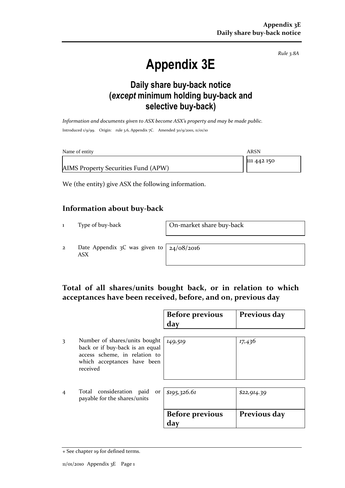*Rule 3.8A*

# **Appendix 3E**

### **Daily share buy-back notice (***except* **minimum holding buy-back and selective buy-back)**

*Information and documents given to ASX become ASX's property and may be made public.* Introduced 1/9/99. Origin: rule 3.6, Appendix 7C. Amended 30/9/2001, 11/01/10

| Name of entity                      | ARSN        |
|-------------------------------------|-------------|
|                                     | 111 442 150 |
| AIMS Property Securities Fund (APW) |             |

We (the entity) give ASX the following information.

#### **Information about buy-back**

1 Type of buy-back On-market share buy-back

2 Date Appendix 3C was given to ASX

24/08/2016

#### **Total of all shares/units bought back, or in relation to which acceptances have been received, before, and on, previous day**

|                |                                                                                                                                              | <b>Before previous</b><br>day | Previous day |
|----------------|----------------------------------------------------------------------------------------------------------------------------------------------|-------------------------------|--------------|
| 3              | Number of shares/units bought<br>back or if buy-back is an equal<br>access scheme, in relation to<br>which acceptances have been<br>received | 149,519                       | 17,436       |
| $\overline{4}$ | Total consideration paid<br>or<br>payable for the shares/units                                                                               | \$195,326.61                  | \$22,914.39  |
|                |                                                                                                                                              | <b>Before previous</b><br>day | Previous day |

<sup>+</sup> See chapter 19 for defined terms.